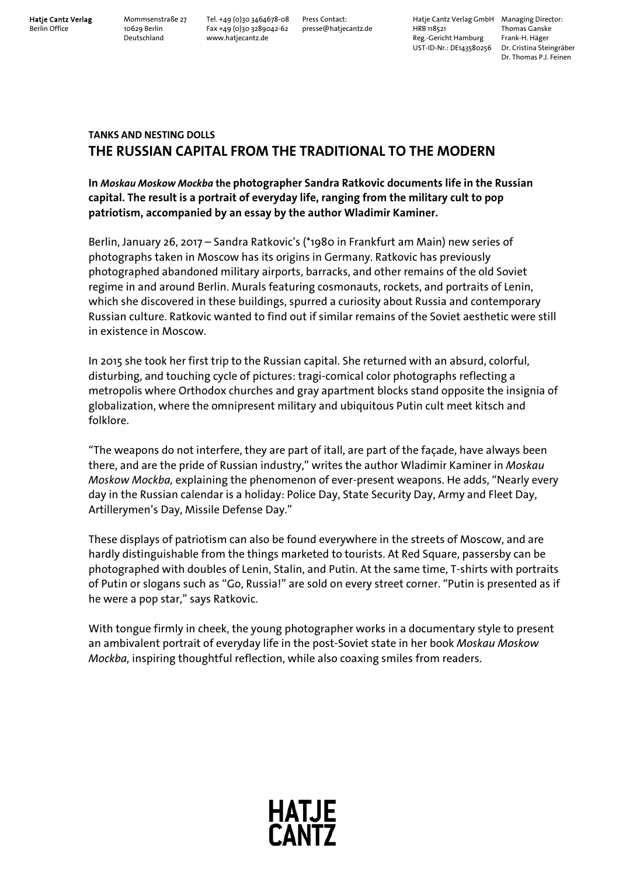**Hatje Cantz Verlag** Mommsenstraße 27 Tel. +49 (0)30 3464678-08 Press Contact: Hatje Cantz Verlag GmbH Managing Director: Berlin Office 10629 Berlin Fax +49 (0)30 3289042-62 presse@hatjecantz.de HRB 118521 Thomas Ganske Deutschland www.hatjecantz.de Reg.-Gericht Hamburg Frank-H. Häger UST-ID-Nr.: DE143580256 Dr. Cristina Steingräber

Dr. Thomas P.J. Feinen

# **TANKS AND NESTING DOLLS THE RUSSIAN CAPITAL FROM THE TRADITIONAL TO THE MODERN**

## **In** *Moskau Moskow Mockba* **the photographer Sandra Ratkovic documents life in the Russian capital. The result is a portrait of everyday life, ranging from the military cult to pop patriotism, accompanied by an essay by the author Wladimir Kaminer.**

Berlin, January 26, 2017 – Sandra Ratkovic's (\*1980 in Frankfurt am Main) new series of photographs taken in Moscow has its origins in Germany. Ratkovic has previously photographed abandoned military airports, barracks, and other remains of the old Soviet regime in and around Berlin. Murals featuring cosmonauts, rockets, and portraits of Lenin, which she discovered in these buildings, spurred a curiosity about Russia and contemporary Russian culture. Ratkovic wanted to find out if similar remains of the Soviet aesthetic were still in existence in Moscow.

In 2015 she took her first trip to the Russian capital. She returned with an absurd, colorful, disturbing, and touching cycle of pictures: tragi-comical color photographs reflecting a metropolis where Orthodox churches and gray apartment blocks stand opposite the insignia of globalization, where the omnipresent military and ubiquitous Putin cult meet kitsch and folklore.

"The weapons do not interfere, they are part of itall, are part of the façade, have always been there, and are the pride of Russian industry," writes the author Wladimir Kaminer in *Moskau Moskow Mockba,* explaining the phenomenon of ever-present weapons. He adds, "Nearly every day in the Russian calendar is a holiday: Police Day, State Security Day, Army and Fleet Day, Artillerymen's Day, Missile Defense Day."

These displays of patriotism can also be found everywhere in the streets of Moscow, and are hardly distinguishable from the things marketed to tourists. At Red Square, passersby can be photographed with doubles of Lenin, Stalin, and Putin. At the same time, T-shirts with portraits of Putin or slogans such as "Go, Russia!" are sold on every street corner. "Putin is presented as if he were a pop star," says Ratkovic.

With tongue firmly in cheek, the young photographer works in a documentary style to present an ambivalent portrait of everyday life in the post-Soviet state in her book *Moskau Moskow Mockba,* inspiring thoughtful reflection, while also coaxing smiles from readers.